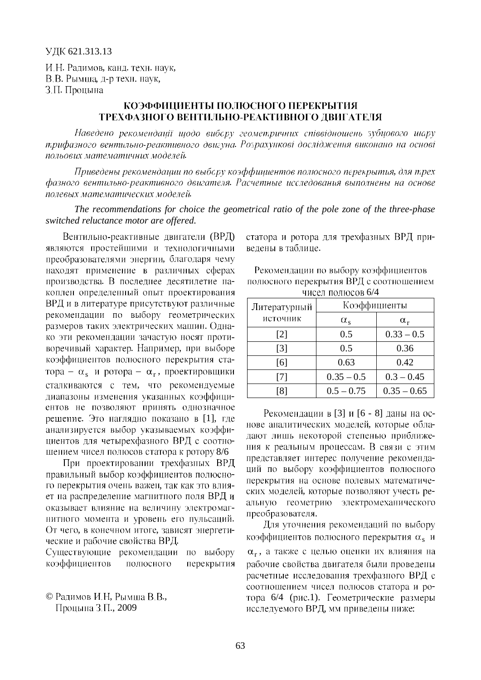И.Н. Радимов, канд. техн. наук,

В.В. Рымша, д-р техн. наук,

З.П. Процына

## КОЭФФИЦИЕНТЫ ПОЛЮСНОГО ПЕРЕКРЫТИЯ ТРЕХФАЗНОГО ВЕНТИЛЬНО-РЕАКТИВНОГО ЛВИГАТЕЛЯ

Наведено рекомендації щодо вибору геометричних співвідношень зубиового шару трифазного вентильно-реактивного двигуна. Розрахункові дослідження виконано на основі польових математичних моделей.

Приведены рекомендации по выбору коэффициентов полюсного перекрытия, для трех фазного вентильно-реактивного двигателя. Расчетные исследования выполнены на основе *полевых математических моделей.* 

*The recommendations for choice the geometrical ratio of the pole zone of the three-phase switched reluctance motor are offered.*

Вентильно-реактивные двигатели (ВРД) являются простейшими и технологичными преобразователями энергии, благодаря чему находят применение в различных сферах производства. В последнее десятилетие накоплен определенный опыт проектирования ВРД и в литературе присутствуют различные рекомендации по выбору геометрических размеров таких электрических машин. Однако эти рекомендации зачастую носят противоречивый характер. Например, при выборе коэффициентов полюсного перекрытия ста- $\alpha - \alpha_s$  и ротора –  $\alpha_r$ , сталкиваются с тем, что рекомендуемые диапазоны изменения указанных коэффициентов не позволяют принять однозначное решение. Это наглядно показано в [1], где анализируется выбор указываемых коэффициентов для четырехфазного ВРД с соотношением чисел полюсов статора к ротору 8/6

При проектировании трехфазных ВРД правильный выбор коэффициентов полюсного перекрытия очень важен, так как это влияет на распределение магнитного поля ВРД и оказывает влияние на величину электромагнитного момента и уровень его пульсаций. От чего, в конечном итоге, зависят энергетические и рабочие свойства ВРД.

Существующие рекомендации по выбору коэффициентов полюсного перекрытия

© Радимов И.Н. Рымша В.В., Процына З.П., 2009

статора и ротора для трехфазных ВРД приведены в таблице.

Рекомендации по выбору коэффициентов полюсного перекрытия ВРД с соотношением чисел полюсов 6/4

| Литературный      | Коэффициенты     |               |
|-------------------|------------------|---------------|
| источник          | $\alpha_{\rm s}$ | $\alpha_{r}$  |
| $\lceil 2 \rceil$ | 0.5              | $0.33 - 0.5$  |
| $\lceil 3 \rceil$ | 0.5              | 0.36          |
| [6]               | 0.63             | 0.42          |
| 171               | $0.35 - 0.5$     | $0.3 - 0.45$  |
| -81               | $0.5 - 0.75$     | $0.35 - 0.65$ |

Рекомендации в [3] и [6 - 8] даны на основе аналитических моделей, которые обладают лишь некоторой степенью приближения к реальным процессам. В связи с этим представляет интерес получение рекомендаций по выбору коэффициентов полюсного перекрытия на основе полевых математических моделей, которые позволяют vчесть реальную геометрию электромеханического преобразователя.

Для уточнения рекомендаций по выбору коэффициентов полюсного перекрытия  $\alpha$ . и r , рабочие свойства двигателя были проведены расчетные исследования трехфазного ВРД с соотношением чисел полюсов статора и ротора 6/4 (рис.1). Геометрические размеры исследуемого ВРД, мм приведены ниже: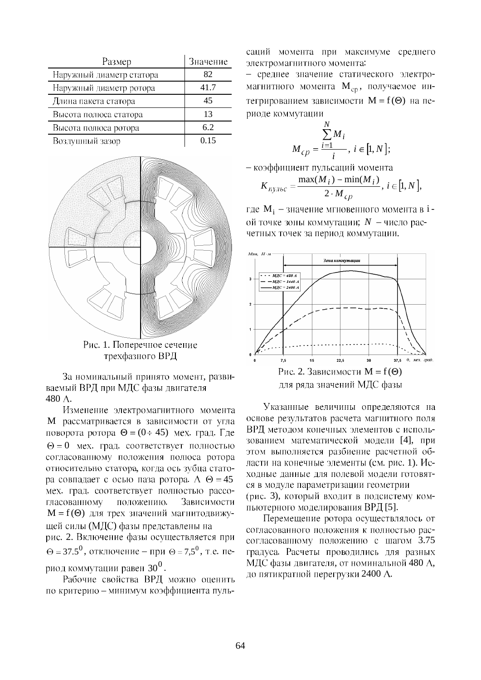| Размер                   | Значение |
|--------------------------|----------|
| Наружный диаметр статора | 82       |
| Наружный диаметр ротора  | 41.7     |
| Длина пакета статора     | 45       |
| Высота полюса статора    | 13       |
| Высота полюса ротора     | 6.2      |
| Воздушный зазор          |          |



Рис. 1. Поперечное сечение трехфазного ВРД

За номинальный принято момент, развиваемый ВРД при МДС фазы двигателя 480 A.

Изменение электромагнитного момента М рассматривается в зависимости от угла поворота ротора  $\Theta = (0 \div 45)$  мех. град. Где  $\Theta = 0$  мех. град. соответствует полностью согласованному положения полюса ротора относительно статора, когда ось зубца статора совпадает с осью паза ротора. А  $\Theta = 45$ мех. град. соответствует полностью рассогласованному положению. Зависимости  $M = f(\Theta)$  для трех значений магнитодвижущей силы (МДС) фазы представлены на рис. 2. Включение фазы осуществляется при  $\Theta$  = 37.5<sup>0</sup>, отключение – при  $\Theta$  = 7,5<sup>0</sup>, т.е. период коммутации равен  $30^0$ .

Рабочие свойства ВРД можно оценить по критерию - минимум коэффициента пульсаций момента при максимуме среднего электромагнитного момента:

- среднее значение статического электромагнитного момента M<sub>cp</sub>, получаемое интегрированием зависимости  $M = f(\Theta)$  на периоде коммутации

$$
M_{cp} = \frac{\sum_{i=1}^{N} M_i}{i}, i \in [1, N];
$$

- коэффициент пульсаций момента

$$
K_{\text{ny/loc}} = \frac{\max(M_i) - \min(M_i)}{2 \cdot M_{\text{cp}}}, \ i \in [1, N],
$$

где М<sub>і</sub> - значение мгновенного момента в іой точке зоны коммутации;  $N$  - число расчетных точек за период коммутации.



Указанные величины определяются на основе результатов расчета магнитного поля ВРД методом конечных элементов с использованием математической модели [4], при этом выполняется разбиение расчетной области на конечные элементы (см. рис. 1). Исходные данные для полевой модели готовятся в модуле параметризации геометрии (рис. 3), который входит в подсистему компьютерного моделирования ВРД [5].

Перемещение ротора осуществлялось от согласованного положения к полностью рассогласованному положению с шагом 3.75 градуса. Расчеты проводились для разных МДС фазы двигателя, от номинальной 480 А, до пятикратной перегрузки 2400 А.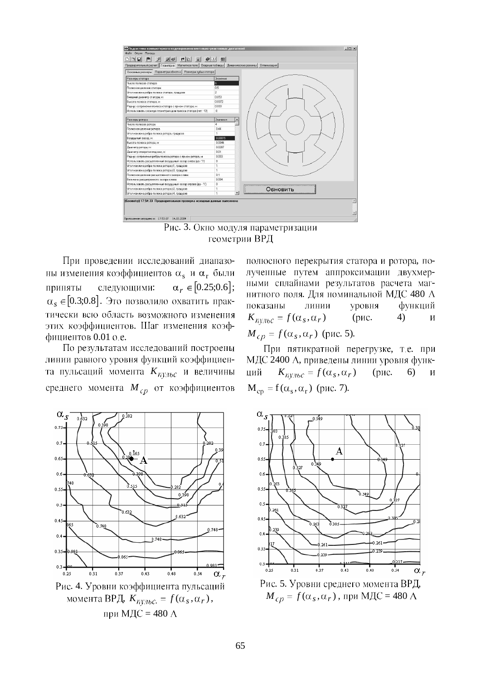



При проведении исследований диапазоны изменения коэффициентов  $\alpha_s$  и  $\alpha_r$  были следующими:  $\alpha_r \in [0.25; 0.6];$ приняты  $\alpha_s \in [0.3; 0.8]$ . Это позволило охватить практически всю область возможного изменения этих коэффициентов. Шаг изменения коэффициентов 0.01 о.е.

По результатам исследований построены линии равного уровня функций коэффициента пульсаций момента  $K_{ny,nc}$  и величины среднего момента  $M_{cp}$  от коэффициентов



Рис. 4. Уровни коэффициента пульсаций момента ВРД,  $K_{nv,loc.} = f(\alpha_s, \alpha_r)$ , при МДС = 480 А

полюсного перекрытия статора и ротора, полученные путем аппроксимации двухмерными сплайнами результатов расчета магнитного поля. Для номинальной МДС 480 А показаны линии уровня функций  $K_{ny,loc} = f(\alpha_s, \alpha_r)$ (рис.  $4)$  $\mathbf{M}$  $M_{cp} = f(\alpha_s, \alpha_r)$  (pnc. 5).

При пятикратной перегрузке, т.е. при МДС 2400 А, приведены линии уровня функ- $K_{ny\pi bc} = f(\alpha_s, \alpha_r)$ ций (рис.  $6)$  $\mathbf{M}$  $M_{cp} = f(\alpha_s, \alpha_r)$  (pnc. 7).



Рис. 5. Уровни среднего момента ВРД,  $M_{c} = f(\alpha_s, \alpha_r)$ , при МДС = 480 А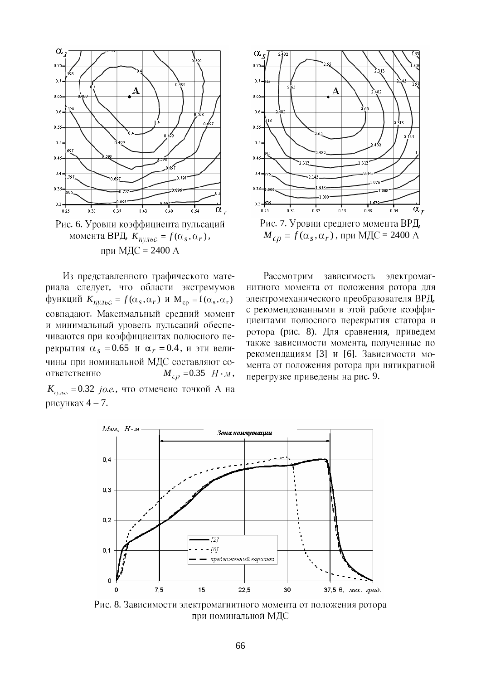

 $K_{ny,nbc.} = f(\alpha_s, \alpha_r),$ при МДС = 2400  $\AA$ 

Из представленного графического материала следует, что области экстремумов  $K_{\text{ny,loc}} = f(\alpha_s, \alpha_r)$  **H**  $M_{\text{cp}} = f(\alpha_s, \alpha_r)$ совпадают. Максимальный средний момент и минимальный уровень пульсаций обеспечиваются при коэффициентах полюсного пе- $\alpha_s = 0.65$  *H*  $\alpha_r = 0.4$ , *H* эти величины при номинальной МДС составляют соответственно  $M_{cp} = 0.35$   $H \cdot M$ ,  $K_{n \mu bc.} = 0.32 \, j.o.e.,$ рисунках  $4 - 7$ .



 $M_{cp} = f(\alpha_s, \alpha_r)$ , при МДС = 2400 А

Рассмотрим зависимость электромагнитного момента от положения ротора для электромеханического преобразователя ВРД, с рекомендованными в этой работе коэффициентами полюсного перекрытия статора и ротора (рис. 8). Для сравнения, приведем также зависимости момента, полученные по рекомендациям [3] и [6]. Зависимости момента от положения ротора при пятикратной перегрузке приведены на рис. 9.



Рис. 8. Зависимости электромагнитного момента от положения ротора при номинальной МДС